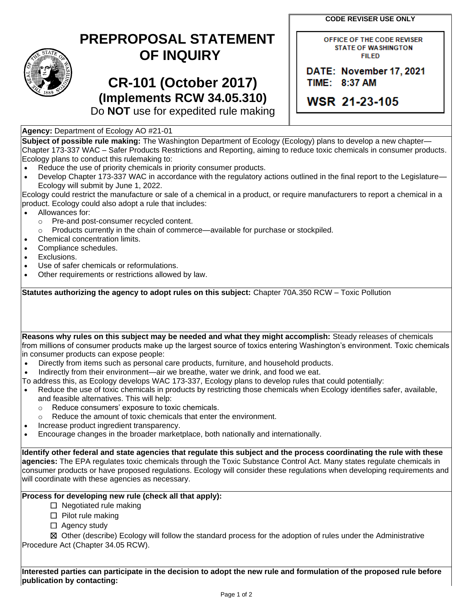**CODE REVISER USE ONLY**

## **PREPROPOSAL STATEMENT OF INQUIRY**

## **CR-101 (October 2017) (Implements RCW 34.05.310)**

OFFICE OF THE CODE REVISER **STATE OF WASHINGTON FILED** 

DATE: November 17, 2021 TIME: 8:37 AM

**WSR 21-23-105** 

Do **NOT** use for expedited rule making

**Agency:** Department of Ecology AO #21-01

**Subject of possible rule making:** The Washington Department of Ecology (Ecology) plans to develop a new chapter— Chapter 173-337 WAC – Safer Products Restrictions and Reporting, aiming to reduce toxic chemicals in consumer products. Ecology plans to conduct this rulemaking to:

- Reduce the use of priority chemicals in priority consumer products.
- Develop Chapter 173-337 WAC in accordance with the regulatory actions outlined in the final report to the Legislature— Ecology will submit by June 1, 2022.

Ecology could restrict the manufacture or sale of a chemical in a product, or require manufacturers to report a chemical in a product. Ecology could also adopt a rule that includes:

- Allowances for:
	- o Pre-and post-consumer recycled content.
	- o Products currently in the chain of commerce—available for purchase or stockpiled.
- Chemical concentration limits.
- Compliance schedules.
- Exclusions.
- Use of safer chemicals or reformulations.
- Other requirements or restrictions allowed by law.

**Statutes authorizing the agency to adopt rules on this subject:** Chapter 70A.350 RCW – Toxic Pollution

**Reasons why rules on this subject may be needed and what they might accomplish:** Steady releases of chemicals from millions of consumer products make up the largest source of toxics entering Washington's environment. Toxic chemicals in consumer products can expose people:

- Directly from items such as personal care products, furniture, and household products.
- Indirectly from their environment—air we breathe, water we drink, and food we eat.
- To address this, as Ecology develops WAC 173-337, Ecology plans to develop rules that could potentially:
- Reduce the use of toxic chemicals in products by restricting those chemicals when Ecology identifies safer, available, and feasible alternatives. This will help:
	- o Reduce consumers' exposure to toxic chemicals.
	- o Reduce the amount of toxic chemicals that enter the environment.
- Increase product ingredient transparency.
- Encourage changes in the broader marketplace, both nationally and internationally.

**Identify other federal and state agencies that regulate this subject and the process coordinating the rule with these agencies:** The EPA regulates toxic chemicals through the Toxic Substance Control Act. Many states regulate chemicals in consumer products or have proposed regulations. Ecology will consider these regulations when developing requirements and will coordinate with these agencies as necessary.

## **Process for developing new rule (check all that apply):**

- ☐ Negotiated rule making
- □ Pilot rule making
- □ Agency study

☒ Other (describe) Ecology will follow the standard process for the adoption of rules under the Administrative Procedure Act (Chapter 34.05 RCW).

**Interested parties can participate in the decision to adopt the new rule and formulation of the proposed rule before publication by contacting:**